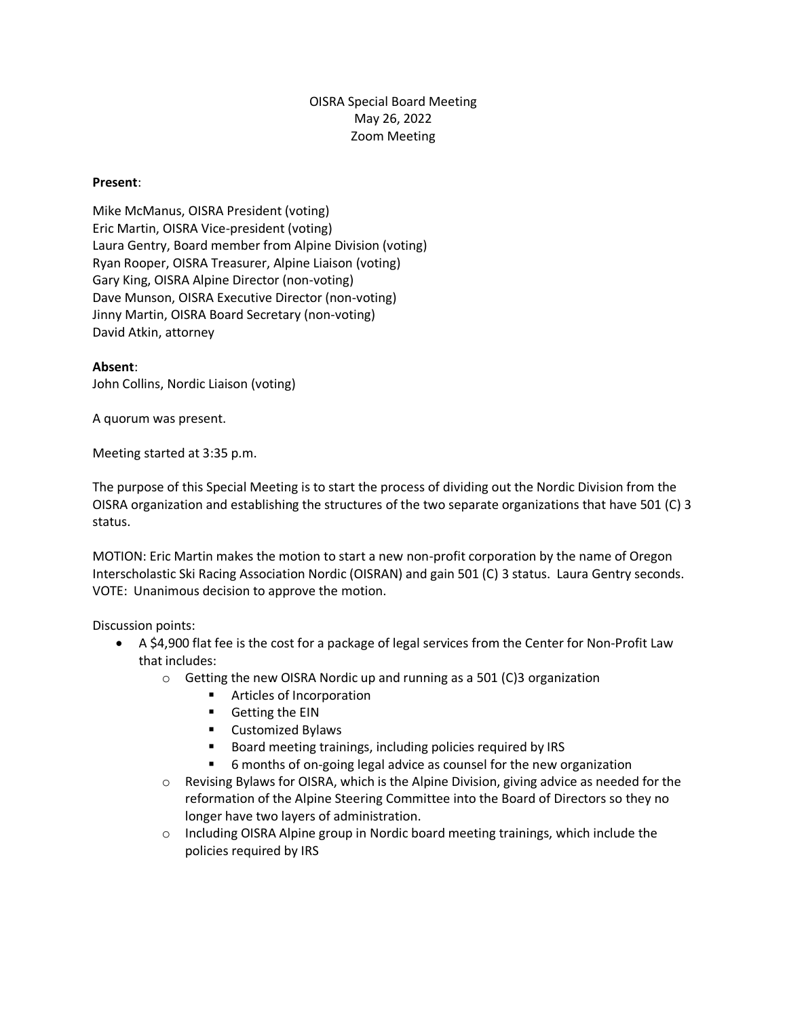## OISRA Special Board Meeting May 26, 2022 Zoom Meeting

## **Present**:

Mike McManus, OISRA President (voting) Eric Martin, OISRA Vice-president (voting) Laura Gentry, Board member from Alpine Division (voting) Ryan Rooper, OISRA Treasurer, Alpine Liaison (voting) Gary King, OISRA Alpine Director (non-voting) Dave Munson, OISRA Executive Director (non-voting) Jinny Martin, OISRA Board Secretary (non-voting) David Atkin, attorney

## **Absent**:

John Collins, Nordic Liaison (voting)

A quorum was present.

Meeting started at 3:35 p.m.

The purpose of this Special Meeting is to start the process of dividing out the Nordic Division from the OISRA organization and establishing the structures of the two separate organizations that have 501 (C) 3 status.

MOTION: Eric Martin makes the motion to start a new non-profit corporation by the name of Oregon Interscholastic Ski Racing Association Nordic (OISRAN) and gain 501 (C) 3 status. Laura Gentry seconds. VOTE: Unanimous decision to approve the motion.

Discussion points:

- A \$4,900 flat fee is the cost for a package of legal services from the Center for Non-Profit Law that includes:
	- o Getting the new OISRA Nordic up and running as a 501 (C)3 organization
		- Articles of Incorporation
		- Getting the EIN
		- Customized Bylaws
		- Board meeting trainings, including policies required by IRS
		- 6 months of on-going legal advice as counsel for the new organization
	- o Revising Bylaws for OISRA, which is the Alpine Division, giving advice as needed for the reformation of the Alpine Steering Committee into the Board of Directors so they no longer have two layers of administration.
	- $\circ$  Including OISRA Alpine group in Nordic board meeting trainings, which include the policies required by IRS